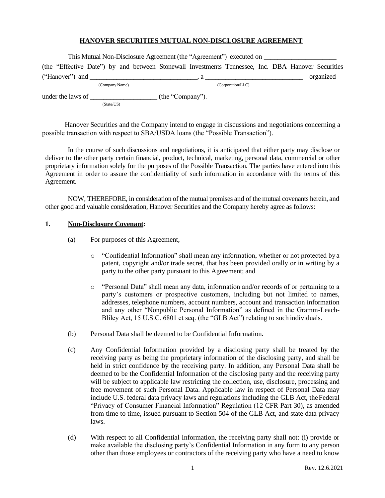## **HANOVER SECURITIES MUTUAL NON-DISCLOSURE AGREEMENT**

| This Mutual Non-Disclosure Agreement (the "Agreement") executed on                                 |                   |           |
|----------------------------------------------------------------------------------------------------|-------------------|-----------|
| (the "Effective Date") by and between Stonewall Investments Tennessee, Inc. DBA Hanover Securities |                   |           |
| ("Hanover") and $\qquad \qquad$                                                                    |                   | organized |
| (Company Name)                                                                                     | (Corporation/LLC) |           |

under the laws of \_\_\_\_\_\_\_\_\_\_\_\_\_\_\_\_\_\_\_\_\_\_\_\_\_ (the "Company").

(State/US)

Hanover Securities and the Company intend to engage in discussions and negotiations concerning a possible transaction with respect to SBA/USDA loans (the "Possible Transaction").

In the course of such discussions and negotiations, it is anticipated that either party may disclose or deliver to the other party certain financial, product, technical, marketing, personal data, commercial or other proprietary information solely for the purposes of the Possible Transaction. The parties have entered into this Agreement in order to assure the confidentiality of such information in accordance with the terms of this Agreement.

NOW, THEREFORE, in consideration of the mutual premises and of the mutual covenants herein, and other good and valuable consideration, Hanover Securities and the Company hereby agree as follows:

## **1. Non-Disclosure Covenant:**

- (a) For purposes of this Agreement,
	- o "Confidential Information" shall mean any information, whether or not protected by a patent, copyright and/or trade secret, that has been provided orally or in writing by a party to the other party pursuant to this Agreement; and
	- o "Personal Data" shall mean any data, information and/or records of or pertaining to a party's customers or prospective customers, including but not limited to names, addresses, telephone numbers, account numbers, account and transaction information and any other "Nonpublic Personal Information" as defined in the Gramm-Leach-Bliley Act, 15 U.S.C. 6801 et seq. (the "GLB Act") relating to such individuals.
- (b) Personal Data shall be deemed to be Confidential Information.
- (c) Any Confidential Information provided by a disclosing party shall be treated by the receiving party as being the proprietary information of the disclosing party, and shall be held in strict confidence by the receiving party. In addition, any Personal Data shall be deemed to be the Confidential Information of the disclosing party and the receiving party will be subject to applicable law restricting the collection, use, disclosure, processing and free movement of such Personal Data. Applicable law in respect of Personal Data may include U.S. federal data privacy laws and regulations including the GLB Act, theFederal "Privacy of Consumer Financial Information" Regulation (12 CFR Part 30), as amended from time to time, issued pursuant to Section 504 of the GLB Act, and state data privacy laws.
- (d) With respect to all Confidential Information, the receiving party shall not: (i) provide or make available the disclosing party's Confidential Information in any form to any person other than those employees or contractors of the receiving party who have a need to know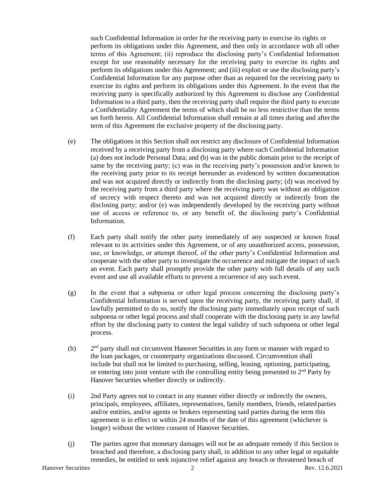such Confidential Information in order for the receiving party to exercise its rights or perform its obligations under this Agreement, and then only in accordance with all other terms of this Agreement; (ii) reproduce the disclosing party's Confidential Information except for use reasonably necessary for the receiving party to exercise its rights and perform its obligations under this Agreement; and (iii) exploit or use the disclosing party's Confidential Information for any purpose other than as required for the receiving party to exercise its rights and perform its obligations under this Agreement. In the event that the receiving party is specifically authorized by this Agreement to disclose any Confidential Information to a third party, then the receiving party shall require the third party to execute a Confidentiality Agreement the terms of which shall be no less restrictive than the terms set forth herein. All Confidential Information shall remain at all times during and afterthe term of this Agreement the exclusive property of the disclosing party.

- (e) The obligations in this Section shall not restrict any disclosure of Confidential Information received by a receiving party from a disclosing party where such Confidential Information (a) does not include Personal Data; and (b) was in the public domain prior to the receipt of same by the receiving party; (c) was in the receiving party's possession and/or known to the receiving party prior to its receipt hereunder as evidenced by written documentation and was not acquired directly or indirectly from the disclosing party; (d) was received by the receiving party from a third party where the receiving party was without an obligation of secrecy with respect thereto and was not acquired directly or indirectly from the disclosing party; and/or (e) was independently developed by the receiving party without use of access or reference to, or any benefit of, the disclosing party's Confidential Information.
- (f) Each party shall notify the other party immediately of any suspected or known fraud relevant to its activities under this Agreement, or of any unauthorized access, possession, use, or knowledge, or attempt thereof, of the other party's Confidential Information and cooperate with the other party to investigate the occurrence and mitigate the impact of such an event. Each party shall promptly provide the other party with full details of any such event and use all available efforts to prevent a recurrence of any such event.
- (g) In the event that a subpoena or other legal process concerning the disclosing party's Confidential Information is served upon the receiving party, the receiving party shall, if lawfully permitted to do so, notify the disclosing party immediately upon receipt of such subpoena or other legal process and shall cooperate with the disclosing party in any lawful effort by the disclosing party to contest the legal validity of such subpoena or other legal process.
- $(h)$  $2<sup>nd</sup>$  party shall not circumvent Hanover Securities in any form or manner with regard to the loan packages, or counterparty organizations discussed. Circumvention shall include but shall not be limited to purchasing, selling, leasing, optioning, participating, or entering into joint venture with the controlling entity being presented to  $2<sup>nd</sup>$  Party by Hanover Securities whether directly or indirectly.
- (i) 2nd Party agrees not to contact in any manner either directly or indirectly the owners, principals, employees, affiliates, representatives, family members, friends, related parties and/or entities, and/or agents or brokers representing said parties during the term this agreement is in effect or within 24 months of the date of this agreement (whichever is longer) without the written consent of Hanover Securities.
- (j) The parties agree that monetary damages will not be an adequate remedy if this Section is breached and therefore, a disclosing party shall, in addition to any other legal or equitable remedies, be entitled to seek injunctive relief against any breach or threatened breach of